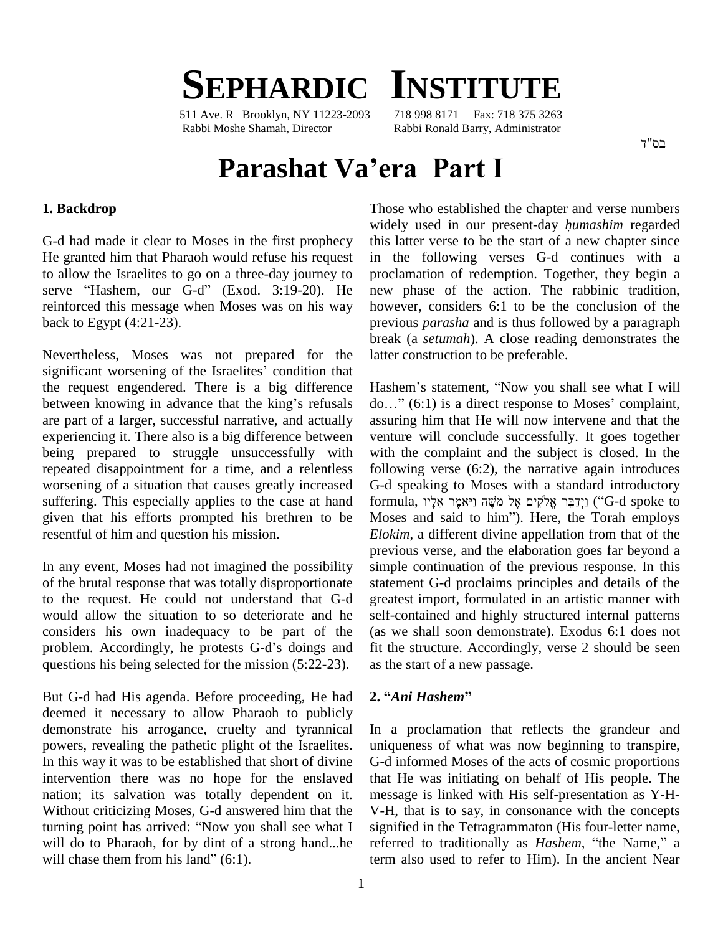# **SEPHARDIC INSTITUTE**

511 Ave. R Brooklyn, NY 11223-2093 718 998 8171 Fax: 718 375 3263 Rabbi Moshe Shamah, Director Rabbi Ronald Barry, Administrator

בס"ד

## **Parashat Vaíera Part <sup>I</sup>**

### **1. Backdrop**

G-d had made it clear to Moses in the first prophecy He granted him that Pharaoh would refuse his request to allow the Israelites to go on a three-day journey to serve "Hashem, our G-d" (Exod. 3:19-20). He reinforced this message when Moses was on his way back to Egypt (4:21-23).

Nevertheless, Moses was not prepared for the br<br>Nevertheless, Moses was not prepared for the lar<br>significant worsening of the Israelites' condition that the request engendered. There is a big difference significant worsening of the Israelites' condition that<br>the request engendered. There is a big difference Hashem's statement, "Now you shall see what I will<br>between knowing in advance that the king's refusals do..." (6:1) are part of a larger, successful narrative, and actually experiencing it. There also is a big difference between being prepared to struggle unsuccessfully with repeated disappointment for a time, and a relentless worsening of a situation that causes greatly increased suffering. This especially applies to the case at hand formula, וְיָדָבֵּר אֱלֹקִים אֱל מֹשֶׁה וַיֹּאמֶר אֶלֵי given that his efforts prompted his brethren to be Moses and said to him"). Here, the Torah employs resentful of him and question his mission.

In any event, Moses had not imagined the possibility of the brutal response that was totally disproportionate to the request. He could not understand that G-d would allow the situation to so deteriorate and he considers his own inadequacy to be part of the problem. Accordingly, he protests G-d's doings and questions his being selected for the mission (5:22-23).

But G-d had His agenda. Before proceeding, He had 2. "Ani Hashem" deemed it necessary to allow Pharaoh to publicly demonstrate his arrogance, cruelty and tyrannical powers, revealing the pathetic plight of the Israelites. In this way it was to be established that short of divine intervention there was no hope for the enslaved nation; its salvation was totally dependent on it. Without criticizing Moses, G-d answered him that the nation; its salvation was totally dependent on it. me<br>Without criticizing Moses, G-d answered him that the V-l<br>turning point has arrived: "Now you shall see what I sign will do to Pharaoh, for by dint of a strong hand...he referred to traditionally as *Hashem*, "the Name," a will chase them from his land" (6:1).<br>
term also used to refer to Him). In the ancient Near turning point has arrived: "Now you shawill do to Pharaoh, for by dint of a strowill chase them from his land" (6:1).

Those who established the chapter and verse numbers widely used in our present-day *<sup>h</sup>umashim* regarded this latter verse to be the start of a new chapter since in the following verses G-d continues with a proclamation of redemption. Together, they begin a new phase of the action. The rabbinic tradition, however, considers 6:1 to be the conclusion of the previous *parasha* and is thus followed by a paragraph break (a *setumah*). A close reading demonstrates the latter construction to be preferable.

latter construction to be preferable.<br>Hashem's statement, "Now you shall see what I will Hashem's statement, "Now you shall see what I will<br>do..." (6:1) is a direct response to Moses' complaint, assuring him that He will now intervene and that the venture will conclude successfully. It goes together with the complaint and the subject is closed. In the following verse (6:2), the narrative again introduces G-d speaking to Moses with a standard introductory following verse (6:2), the narrative again introduces<br>G-d speaking to Moses with a standard introductory<br>יְרָבֵּר אֱלֹקִים אֶל מֹשֶׁה וַיֹּאמֶר אֱלֹיִם (''G-d spoke to G-d speaking to Moses with a standard introductory<br>formula, יַרְבַּר אֱלֹקִים אֶל מֹשֶׁה וַיֹּאמֶר אֵלְיוּ<br>(G-d spoke to Moses and said to him''). Here, the Torah employs *Elokim*, a different divine appellation from that of the previous verse, and the elaboration goes far beyond a simple continuation of the previous response. In this statement G-d proclaims principles and details of the greatest import, formulated in an artistic manner with self-contained and highly structured internal patterns (as we shall soon demonstrate). Exodus 6:1 does not fit the structure. Accordingly, verse 2 should be seen as the start of a new passage. **2. <sup>ì</sup>***Ani Hashem***<sup>î</sup>**

In a proclamation that reflects the grandeur and uniqueness of what was now beginning to transpire, G-d informed Moses of the acts of cosmic proportions that He was initiating on behalf of His people. The message is linked with His self-presentation as Y-H- V-H, that is to say, in consonance with the concepts signified in the Tetragrammaton (His four-letter name, referred to traditionally as *Hashem*, "the Name," a signified in the Tetragrammaton (His four-letter name, term also used to refer to Him). In the ancient Near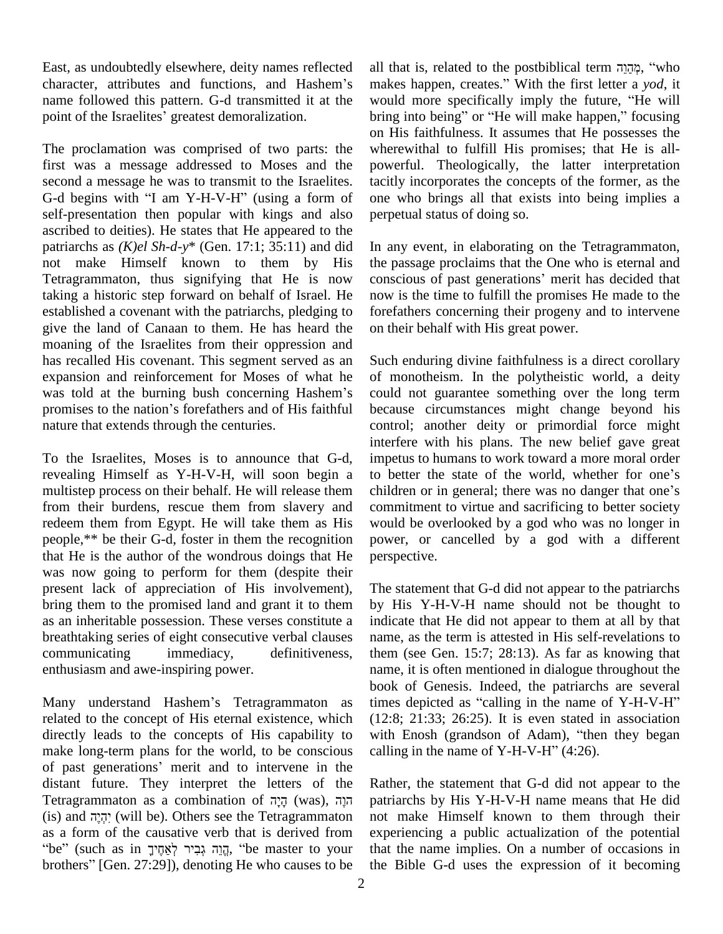East, as undoubtedly elsewhere, deity names reflected East, as undoubtedly elsewhere, deity names reflected all t<br>character, attributes and functions, and Hashem's mak name followed this pattern. G-d transmitted it at the would more specifically imply the future, "He will character, attributes and functions, and Hashem's name followed this pattern. G-d transmitted it at the point of the Israelites' greatest demoralization.

The proclamation was comprised of two parts: the first was a message addressed to Moses and the second a message he was to transmit to the Israelites. G-d begins with "I am Y-H-V-H" (using a form of self-presentation then popular with kings and also ascribed to deities). He states that He appeared to the patriarchs as *(K)el Sh-d-y*\* (Gen. 17:1; 35:11) and did not make Himself known to them by His Tetragrammaton, thus signifying that He is now conscious of past generations' merit has decided that taking a historic step forward on behalf of Israel. He established a covenant with the patriarchs, pledging to give the land of Canaan to them. He has heard the moaning of the Israelites from their oppression and has recalled His covenant. This segment served as an expansion and reinforcement for Moses of what he has recalled His covenant. This segment served as an Such<br>expansion and reinforcement for Moses of what he of r<br>was told at the burning bush concerning Hashem's coul expansion and reinforcement for Moses of what he of<br>was told at the burning bush concerning Hashem's co<br>promises to the nation's forefathers and of His faithful be nature that extends through the centuries.

To the Israelites, Moses is to announce that G-d, revealing Himself as Y-H-V-H, will soon begin a to better the state of the world, whether for one's multistep process on their behalf. He will release them children or in general; there was no danger that one's from their burdens, rescue them from slavery and redeem them from Egypt. He will take them as His people,\*\* be their G-d, foster in them the recognition that He is the author of the wondrous doings that He was now going to perform for them (despite their present lack of appreciation of His involvement), bring them to the promised land and grant it to them as an inheritable possession. These verses constitute a breathtaking series of eight consecutive verbal clauses communicating immediacy, definitiveness, enthusiasm and awe-inspiring power.

Many understand Hashem's Tetragrammaton as times depicted as "calling in the name of Y-H-V-H" related to the concept of His eternal existence, which directly leads to the concepts of His capability to with l<br>make long-term plans for the world, to be conscious calling<br>of past generations' merit and to intervene in the make long-term plans for the world, to be conscious calling in the name of Y-H-V-H" (4:26). distant future. They interpret the letters of the Rather<br>Tetragrammaton as a combination of הָיָה (was), הְרָה patriar<br>(is) and יִהְיָה (will be). Others see the Tetragrammaton not n of past generations' merit and to intervene in the distant future. They interpret the letters of the Tetragrammaton as a combination of  $\vec{r}$  (was),  $\vec{n}$ as a form of the causative verb that is derived from (is) and יְהָיֵה (will be). Others see the Tetragrammaton is) and יִהְלֶה (will be). Others see the Tetragrammaton not<br>s a form of the causative verb that is derived from exp<br>be" (such as in יהוה גְּבִיר לְאֲחֶיךָ (be master to your that as a form of the causative verb that is derived from exper<br>"be" (such as in הֱוֶה גְּבִיר לְאֲחֶיךָ for master to your that throthers" [Gen. 27:29]), denoting He who causes to be the I

all that is, related to the postbiblical term מְקוֹה, "who makes happen, creates.<sup>î</sup> With the first letter <sup>a</sup> *yod*, it all that is, related to the postbiblical term מְהֵוֹה, "who makes happen, creates." With the first letter a *yod*, it would more specifically imply the future, "He will bring into being" or "He will make happen," focusing on His faithfulness. It assumes that He possesses the wherewithal to fulfill His promises; that He is all powerful. Theologically, the latter interpretation tacitly incorporates the concepts of the former, as the one who brings all that exists into being implies a perpetual status of doing so.

In any event, in elaborating on the Tetragrammaton, the passage proclaims that the One who is eternal and In any event, in elaborating on the Tetragrammaton,<br>the passage proclaims that the One who is eternal and<br>conscious of past generations' merit has decided that now is the time to fulfill the promises He made to the forefathers concerning their progeny and to intervene on their behalf with His great power.

Such enduring divine faithfulness is a direct corollary of monotheism. In the polytheistic world, a deity could not guarantee something over the long term because circumstances might change beyond his control; another deity or primordial force might interfere with his plans. The new belief gave great impetus to humans to work toward a more moral order to better the state of the world, whether for one's impetus to humans to work toward a more moral order<br>to better the state of the world, whether for one's<br>children or in general; there was no danger that one's commitment to virtue and sacrificing to better society would be overlooked by a god who was no longer in power, or cancelled by a god with a different perspective.

The statement that G-d did not appear to the patriarchs by His Y-H-V-H name should not be thought to indicate that He did not appear to them at all by that name, as the term is attested in His self-revelations to them (see Gen. 15:7; 28:13). As far as knowing that name, it is often mentioned in dialogue throughout the book of Genesis. Indeed, the patriarchs are several times depicted as "calling in the name of Y-H-V-H" book of Genesis. Indeed, the patriarchs are several (12:8; 21:33; 26:25). It is even stated in association times depicted as "calling in the name of Y-H-V-H"<br>(12:8; 21:33; 26:25). It is even stated in association<br>with Enosh (grandson of Adam), "then they began (12:8; 21:33; 26:25). It is even stated in as<br>with Enosh (grandson of Adam), "then the calling in the name of Y-H-V-H" (4:26).

Rather, the statement that G-d did not appear to the patriarchs by His Y-H-V-H name means that He did not make Himself known to them through their experiencing a public actualization of the potential that the name implies. On a number of occasions in the Bible G-d uses the expression of it becoming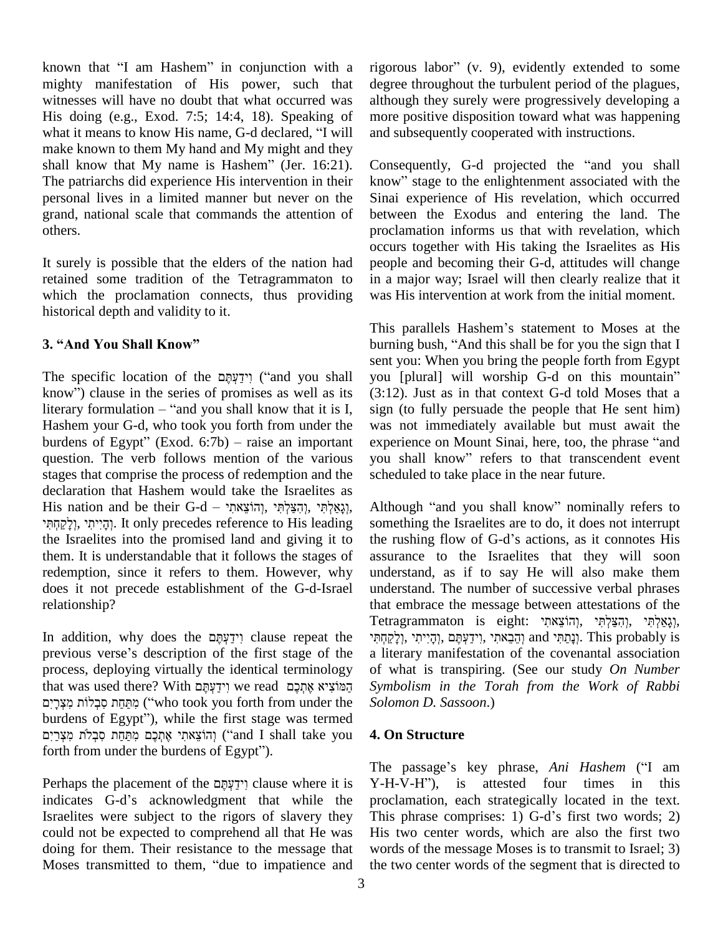known that "I am Hashem" in conjunction with a mighty manifestation of His power, such that witnesses will have no doubt that what occurred was His doing (e.g., Exod. 7:5; 14:4, 18). Speaking of mo witnesses will have no doubt that what occurred was<br>His doing (e.g., Exod. 7:5; 14:4, 18). Speaking of mo<br>what it means to know His name, G-d declared, "I will an make known to them My hand and My might and they what it means to know His name, G-d declared, "I will an make known to them My hand and My might and they shall know that My name is Hashem" (Jer. 16:21). The patriarchs did experience His intervention in their know" stage to the enlightenment associated with the personal lives in a limited manner but never on the grand, national scale that commands the attention of others.

It surely is possible that the elders of the nation had retained some tradition of the Tetragrammaton to which the proclamation connects, thus providing historical depth and validity to it. **3. ìAnd You Shall Knowî**

sent<br>The specific location of the יִידַעְתָּם ("and you shall you<br>know") clause in the series of promises as well as its (3:1 The specific location of the יִדַעֲתָּתָם ("and you shall you shall strow") clause in the series of promises as well as its (3) literary formulation – "and you shall know that it is I, Hashem your G-d, who took you forth from under the was literary formulation – "and you shall know that it is I, signals Hashem your G-d, who took you forth from under the way burdens of Egypt" (Exod. 6:7b) – raise an important exquestion. The verb follows mention of the various you shall know" refers to that transcendent event stages that comprise the process of redemption and the sched<br>declaration that Hashem would take the Israelites as<br>
His nation and be their G-d – יְנָצֵּלְתָּי, יְהִצֵּלְתִּי, יִהְגֵֹצְלֹ declaration that Hashem would take the Israelites as His nation and be their G-d – הִצְאֲלְתִּי, וְהִצְלָתִּי, וְהִצְאֲתָי, וְהִצְאֲתָי,  $\mu$ ; וְהַצְיתָי, וְלַקֲתָתִּי,  $\mu$ ;  $\mu$ the Israelites into the promised land and giving it to the rushing flow of G-d's actions, as it connotes His them. It is understandable that it follows the stages of redemption, since it refers to them. However, why does it not precede establishment of the G-d-Israel relationship?

In addition, why does the יִידַעְתָּם clause repeat the יִרְעֲתֵּם, וְהֵיִיתִי, וִידַעֲתֵּם, וְהֵיִיתִי, וִידַעָתֵּם previous verse's description of the first stage of the process, deploying virtually the identical terminology the previous verse's description of the first stage of the a l process, deploying virtually the identical terminology of that was used there? With ייַדַעְתֶּם we read הַמּוֹצִיא אֶחְכָם ss, deploying virtually the identical terminology of w<br>as used there? With יִידַעְתָּם we read הֲמוֹצִיא אֶתְכֶם<br>הַתַּחַת סִבְלוֹת ('who took you forth from under the *Solor* fhat was used there? With יִידַעְתָּם we read הַמּוֹצִיא אֶתְכָם  $\nabla$ symbo<br>הַתַּחַת סִבְלוֹת מִצְרָיִם ("who took you forth from under the  $\nabla$ solom burdens of Egypt"), while the first stage was termed ʭʑʩʸʔʶʍʮʑיִמְתַּחַת סִבְלוֹח ("who took you forth from under the *Solom*<br>s of Egypt"), while the first stage was termed<br>הוֹצֵאתִי אֶתְכֶם מִתַּחַת סִבְלֹת ("and I shall take you **4. On** burdens of Egypt"), while the first stage wa<br>הוֹצֵאתִי אֶתְכֶם מִתַּחַת סִבְלֹת מִצְרַיִם ("and I shall<br>forth from under the burdens of Egypt"). forth from under the burdens of Egypt").<br>Perhaps the placement of the יִידַעְתֵּם clause where it is

indicates G-d's acknowledgment that while the Israelites were subject to the rigors of slavery they This phrase comprises: 1) G-d's first two words; 2) could not be expected to comprehend all that He was doing for them. Their resistance to the message that Moses transmitted to them, "due to impatience and

rigorous labor" (v. 9), evidently extended to some degree throughout the turbulent period of the plagues, although they surely were progressively developing a more positive disposition toward what was happening and subsequently cooperated with instructions. and subsequently cooperated with instructions.<br>Consequently, G-d projected the "and you shall

Consequently, G-d projected the "and you shall<br>know" stage to the enlightenment associated with the Sinai experience of His revelation, which occurred between the Exodus and entering the land. The proclamation informs us that with revelation, which occurs together with His taking the Israelites as His people and becoming their G-d, attitudes will change in a major way; Israel will then clearly realize that it was His intervention at work from the initial moment.

3. "And You Shall Know"<br>Shall Know" burning bush, "And this shall be for you the sign that I<br>sent you: When you bring the people forth from Egypt<br>The specific location of the רְיִדָּעָתֶּם (''and you shall you [plural] wil This parallels Hashem's statement to Moses at the This parallels Hashem's statement to Moses at the<br>burning bush, "And this shall be for you the sign that I sent you: When you bring the people forth from Egypt burning bush, "And this shall be for you the sign that I<br>sent you: When you bring the people forth from Egypt<br>you [plural] will worship G-d on this mountain" (3:12). Just as in that context G-d told Moses that a sign (to fully persuade the people that He sent him) was not immediately available but must await the sign (to fully persuade the people that He sent him)<br>was not immediately available but must await the<br>experience on Mount Sinai, here, too, the phrase "and was not immediately available but must await the<br>experience on Mount Sinai, here, too, the phrase "and<br>you shall know" refers to that transcendent event scheduled to take place in the near future.

scheduled to take place in the near future.<br>Although "and you shall know" nominally refers to something the Israelites are to do, it does not interrupt Although "and you shall know" nominally refers to<br>something the Israelites are to do, it does not interrupt<br>the rushing flow of G-d's actions, as it connotes His assurance to the Israelites that they will soon understand, as if to say He will also make them understand. The number of successive verbal phrases that embrace the message between attestations of the understand. The number of successive verbal phrases<br>that embrace the message between attestations of the<br>קאֲלֶמְּי יְהִצְּלְמִּי יְהִוֹצָאתִי, mbrace the message between attestations of the<br>rammaton is eight: קְבָאֲלְתִּי ,וְהוֹצֵאתִי, יִדְנַאֲמֶּם, וְהָיִיתִי,<br>קָנָתַתִּי and יְהָבֵאתִי ,וִידַעֲמֶּם ,וְהָיִיתִי. This probably is a literary manifestation of the covenantal association of what is transpiring. (See our study *On Number Symbolism in the Torah from the Work of Rabbi Solomon D. Sassoon*.)

### **4. On Structure**

**4. On Structure**<br>The passage's key phrase, *Ani Hashem* ("I am The passage's key phrase, *Ani Hashem* ("I am<br>Y-H-V-H"), is attested four times in this proclamation, each strategically located in the text. Y-H-V-H"), is attested four times in this His two center words, which are also the first two words of the message Moses is to transmit to Israel; 3) the two center words of the segment that is directed to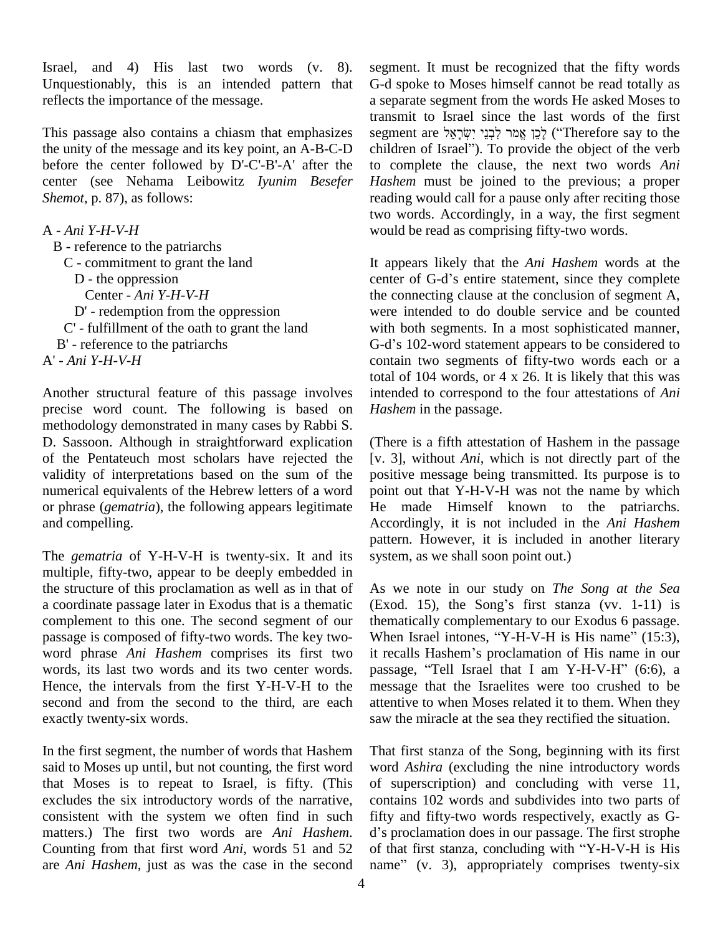Israel, and 4) His last two words (v. 8). Unquestionably, this is an intended pattern that reflects the importance of the message.

the unity of the message and its key point, an A-B-C-D children of Israel"). To provide the object of the verb before the center followed by D'-C'-B'-A' after the center (see Nehama Leibowitz *Iyunim Besefer Shemot*, p. 87), as follows:

A - *Ani Y-H-V-H* B - reference to the patriarchs C - commitment to grant the land D - the oppression Center - *Ani Y-H-V-H* D' - redemption from the oppression C' - fulfillment of the oath to grant the land B' - reference to the patriarchs A' - *Ani Y-H-V-H*

Another structural feature of this passage involves precise word count. The following is based on methodology demonstrated in many cases by Rabbi S. D. Sassoon. Although in straightforward explication of the Pentateuch most scholars have rejected the validity of interpretations based on the sum of the numerical equivalents of the Hebrew letters of a word or phrase (*gematria*), the following appears legitimate and compelling.

The *gematria* of Y-H-V-H is twenty-six. It and its multiple, fifty-two, appear to be deeply embedded in the structure of this proclamation as well as in that of a coordinate passage later in Exodus that is a thematic complement to this one. The second segment of our passage is composed of fifty-two words. The key two word phrase *Ani Hashem* comprises its first two it recalls Hashem's proclamation of His name in our words, its last two words and its two center words. passage, "Tell Israel that I am Y-H-V-H" (6:6), a Hence, the intervals from the first Y-H-V-H to the second and from the second to the third, are each exactly twenty-six words.

In the first segment, the number of words that Hashem said to Moses up until, but not counting, the first word that Moses is to repeat to Israel, is fifty. (This excludes the six introductory words of the narrative, consistent with the system we often find in such matters.) The first two words are *Ani Hashem*. Counting from that first word *Ani*, words 51 and 52 of that first stanza, concluding with "Y-H-V-H is His are *Ani Hashem,* just as was the case in the second

This passage also contains a chiasm that emphasizes segment are יָכֵן אֱמֹר לְבְנֵי יְשְׂרָאֱל ("Therefore say to the segment. It must be recognized that the fifty words G-d spoke to Moses himself cannot be read totally as a separate segment from the words He asked Moses to transmit to Israel since the last words of the first a separate segment from the words He asked Moses to<br>transmit to Israel since the last words of the first<br>segment are אֲכֵוּ יִשְׂרָאֵל (''Therefore say to the transmit to Israel since the last words of the first<br>segment are לְכֵן אֱמֹר לִבְנֵי יִשְׂרָאֵל<br>(Therefore say to the children of Israel''). To provide the object of the verb to complete the clause, the next two words *Ani Hashem* must be joined to the previous; a proper reading would call for a pause only after reciting those two words. Accordingly, in a way, the first segment would be read as comprising fifty-two words.

It appears likely that the *Ani Hashem* words at the It appears likely that the *Ani Hashem* words at the center of G-d's entire statement, since they complete the connecting clause at the conclusion of segment A, were intended to do double service and be counted<br>with both segments. In a most sophisticated manner,<br>G-d's 102-word statement appears to be considered to with both segments. In a most sophisticated manner, contain two segments of fifty-two words each or a total of 104 words, or 4 x 26. It is likely that this was intended to correspond to the four attestations of *Ani Hashem* in the passage.

(There is a fifth attestation of Hashem in the passage [v. 3], without *Ani*, which is not directly part of the positive message being transmitted. Its purpose is to point out that Y-H-V-H was not the name by which He made Himself known to the patriarchs. Accordingly, it is not included in the *Ani Hashem* pattern. However, it is included in another literary system, as we shall soon point out.)

As we note in our study on *The Song at the Sea* As we note in our study on *The Song at the Sea*<br>(Exod. 15), the Song's first stanza (vv. 1-11) is thematically complementary to our Exodus 6 passage. (Exod. 15), the Song's first stanza (vv. 1-11) is<br>thematically complementary to our Exodus 6 passage.<br>When Israel intones, "Y-H-V-H is His name" (15:3), thematically complementary to our Exodus 6 passage.<br>When Israel intones, "Y-H-V-H is His name" (15:3),<br>it recalls Hashem's proclamation of His name in our When Israel intones, "Y-H-V-H is His name" (15:3),<br>it recalls Hashem's proclamation of His name in our<br>passage, "Tell Israel that I am Y-H-V-H" (6:6), a message that the Israelites were too crushed to be attentive to when Moses related it to them. When they saw the miracle at the sea they rectified the situation.

That first stanza of the Song, beginning with its first word *Ashira* (excluding the nine introductory words of superscription) and concluding with verse 11, contains 102 words and subdivides into two parts of fifty and fifty-two words respectively, exactly as G contains 102 words and subdivides into two parts of<br>fifty and fifty-two words respectively, exactly as G-<br>d's proclamation does in our passage. The first strophe fifty and fifty-two words respectively, exactly as G-<br>d's proclamation does in our passage. The first strophe<br>of that first stanza, concluding with "Y-H-V-H is His name" (v. 3), appropriately comprises twenty-six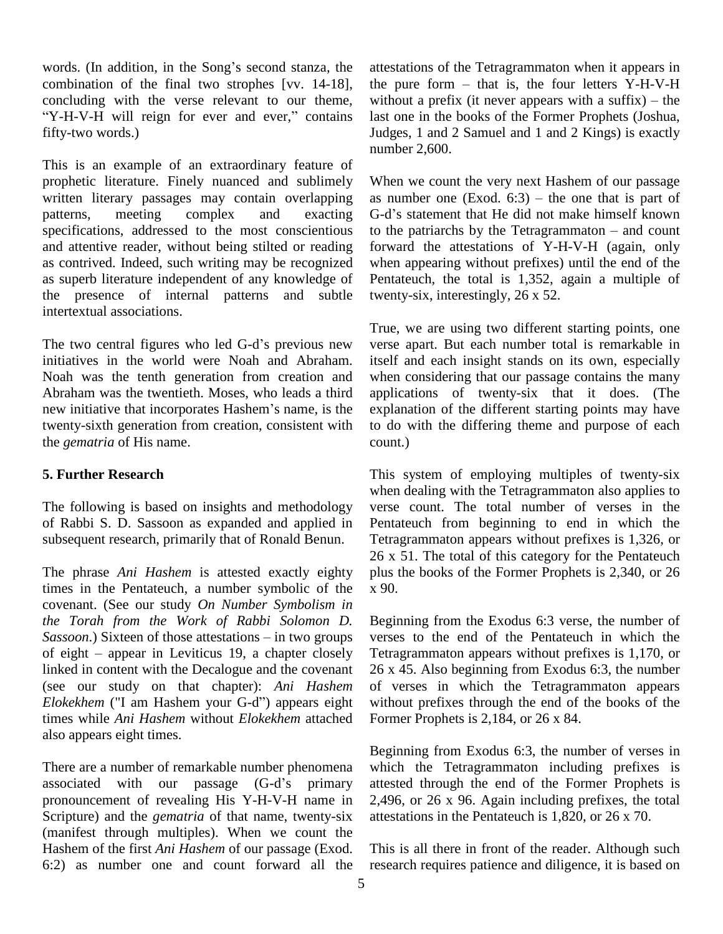words. (In addition, in the Song's second stanza, the combination of the final two strophes [vv. 14-18], the concluding with the verse relevant to our theme,  $\dot{w}$ concluding with the verse relevant to our theme, without a prefix (it never appears with a suffix) – the "Y-H-V-H will reign for ever and ever," contains last one in the books of the Former Prophets (Joshua, fifty-two words.)

This is an example of an extraordinary feature of prophetic literature. Finely nuanced and sublimely written literary passages may contain overlapping as number one  $(Exod. 6:3)$  – the one that is part of patterns, meeting complex and exacting G-d's statement that He did not make himself known specifications, addressed to the most conscientious and attentive reader, without being stilted or reading as contrived. Indeed, such writing may be recognized as superb literature independent of any knowledge of the presence of internal patterns and subtle intertextual associations.

The two central figures who led G-d's previous new initiatives in the world were Noah and Abraham. Noah was the tenth generation from creation and when<br>Abraham was the twentieth. Moses, who leads a third applic<br>new initiative that incorporates Hashem's name, is the explar Abraham was the twentieth. Moses, who leads a third twenty-sixth generation from creation, consistent with the *gematria* of His name.

### **5. Further Research**

The following is based on insights and methodology of Rabbi S. D. Sassoon as expanded and applied in subsequent research, primarily that of Ronald Benun.

The phrase *Ani Hashem* is attested exactly eighty times in the Pentateuch, a number symbolic of the covenant. (See our study *On Number Symbolism in*<br> *the Torah from the Work of Rabbi Solomon D.* Beginn<br> *Sassoon*.) Sixteen of those attestations – in two groups verses *the Torah from the Work of Rabbi Solomon D.* Begins *Sassoon*.) Sixteen of those attestations – in two groups verses of eight – appear in Leviticus 19, a chapter closely Tetrag linked in content with the Decalogue and the covenant 26<br>
(see our study on that chapter): Ani Hashem of<br> *Elokekhem* ("I am Hashem your G-d") appears eight wi (see our study on that chapter): *Ani Hashem* times while *Ani Hashem* without *Elokekhem* attached also appears eight times.

There are a number of remarkable number phenomena associated with our passage (G-d's primary pronouncement of revealing His Y-H-V-H name in Scripture) and the *gematria* of that name, twenty-six (manifest through multiples). When we count the Hashem of the first *Ani Hashem* of our passage (Exod. 6:2) as number one and count forward all the

attestations of the Tetragrammaton when it appears in attestations of the Tetragrammaton when it appears in<br>the pure form – that is, the four letters Y-H-V-H attestations of the Tetragrammaton when it appears in<br>the pure form – that is, the four letters  $Y-H-V-H$ <br>without a prefix (it never appears with a suffix) – the last one in the books of the Former Prophets (Joshua, Judges, 1 and 2 Samuel and 1 and 2 Kings) is exactly number 2,600.

When we count the very next Hashem of our passage When we count the very next Hashem of our passage<br>as number one (Exod. 6:3) – the one that is part of When we count the very next Hashem of our passage<br>as number one (Exod. 6:3) – the one that is part of<br>G-d's statement that He did not make himself known to the patriarchs by the Tetragrammaton  $-$  and count forward the attestations of Y-H-V-H (again, only when appearing without prefixes) until the end of the Pentateuch, the total is 1,352, again a multiple of twenty-six, interestingly, 26 x 52.

True, we are using two different starting points, one verse apart. But each number total is remarkable in itself and each insight stands on its own, especially when considering that our passage contains the many applications of twenty-six that it does. (The explanation of the different starting points may have to do with the differing theme and purpose of each count.)

This system of employing multiples of twenty-six when dealing with the Tetragrammaton also applies to verse count. The total number of verses in the Pentateuch from beginning to end in which the Tetragrammaton appears without prefixes is 1,326, or 26 x 51. The total of this category for the Pentateuch plus the books of the Former Prophets is 2,340, or 26 x 90.

Beginning from the Exodus 6:3 verse, the number of verses to the end of the Pentateuch in which the Tetragrammaton appears without prefixes is 1,170, or 26 x 45. Also beginning from Exodus 6:3, the number of verses in which the Tetragrammaton appears without prefixes through the end of the books of the Former Prophets is 2,184, or 26 x 84.

Beginning from Exodus 6:3, the number of verses in which the Tetragrammaton including prefixes is attested through the end of the Former Prophets is 2,496, or 26 x 96. Again including prefixes, the total attestations in the Pentateuch is 1,820, or 26 x 70.

This is all there in front of the reader. Although such research requires patience and diligence, it is based on